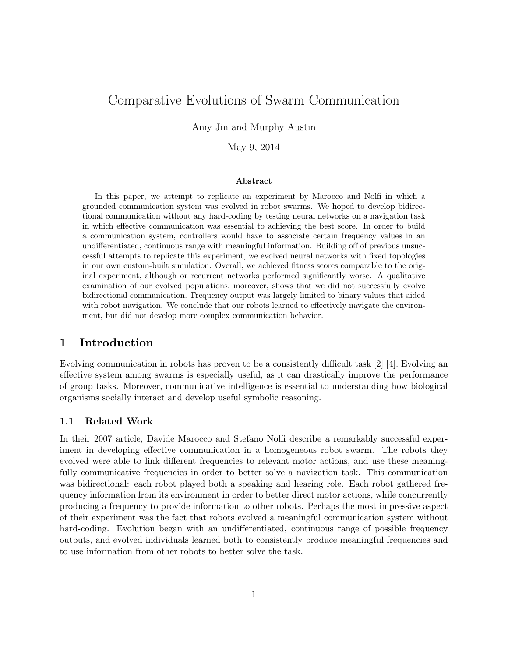# Comparative Evolutions of Swarm Communication

Amy Jin and Murphy Austin

May 9, 2014

#### Abstract

In this paper, we attempt to replicate an experiment by Marocco and Nolfi in which a grounded communication system was evolved in robot swarms. We hoped to develop bidirectional communication without any hard-coding by testing neural networks on a navigation task in which effective communication was essential to achieving the best score. In order to build a communication system, controllers would have to associate certain frequency values in an undifferentiated, continuous range with meaningful information. Building off of previous unsuccessful attempts to replicate this experiment, we evolved neural networks with fixed topologies in our own custom-built simulation. Overall, we achieved fitness scores comparable to the original experiment, although or recurrent networks performed significantly worse. A qualitative examination of our evolved populations, moreover, shows that we did not successfully evolve bidirectional communication. Frequency output was largely limited to binary values that aided with robot navigation. We conclude that our robots learned to effectively navigate the environment, but did not develop more complex communication behavior.

## 1 Introduction

Evolving communication in robots has proven to be a consistently difficult task [2] [4]. Evolving an effective system among swarms is especially useful, as it can drastically improve the performance of group tasks. Moreover, communicative intelligence is essential to understanding how biological organisms socially interact and develop useful symbolic reasoning.

### 1.1 Related Work

In their 2007 article, Davide Marocco and Stefano Nolfi describe a remarkably successful experiment in developing effective communication in a homogeneous robot swarm. The robots they evolved were able to link different frequencies to relevant motor actions, and use these meaningfully communicative frequencies in order to better solve a navigation task. This communication was bidirectional: each robot played both a speaking and hearing role. Each robot gathered frequency information from its environment in order to better direct motor actions, while concurrently producing a frequency to provide information to other robots. Perhaps the most impressive aspect of their experiment was the fact that robots evolved a meaningful communication system without hard-coding. Evolution began with an undifferentiated, continuous range of possible frequency outputs, and evolved individuals learned both to consistently produce meaningful frequencies and to use information from other robots to better solve the task.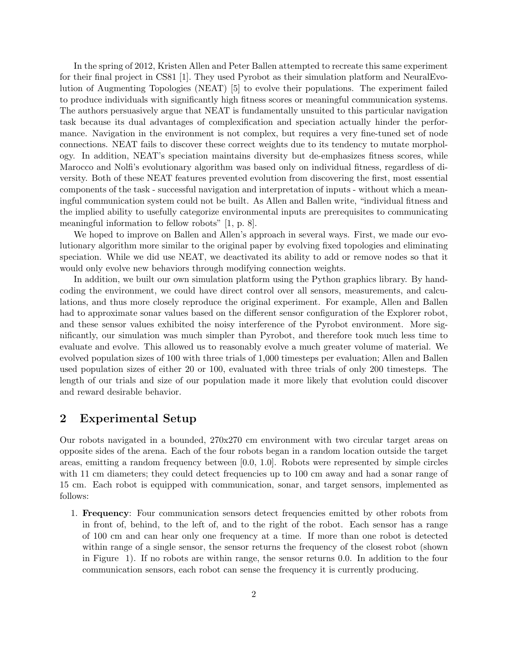In the spring of 2012, Kristen Allen and Peter Ballen attempted to recreate this same experiment for their final project in CS81 [1]. They used Pyrobot as their simulation platform and NeuralEvolution of Augmenting Topologies (NEAT) [5] to evolve their populations. The experiment failed to produce individuals with significantly high fitness scores or meaningful communication systems. The authors persuasively argue that NEAT is fundamentally unsuited to this particular navigation task because its dual advantages of complexification and speciation actually hinder the performance. Navigation in the environment is not complex, but requires a very fine-tuned set of node connections. NEAT fails to discover these correct weights due to its tendency to mutate morphology. In addition, NEAT's speciation maintains diversity but de-emphasizes fitness scores, while Marocco and Nolfi's evolutionary algorithm was based only on individual fitness, regardless of diversity. Both of these NEAT features prevented evolution from discovering the first, most essential components of the task - successful navigation and interpretation of inputs - without which a meaningful communication system could not be built. As Allen and Ballen write, "individual fitness and the implied ability to usefully categorize environmental inputs are prerequisites to communicating meaningful information to fellow robots" [1, p. 8].

We hoped to improve on Ballen and Allen's approach in several ways. First, we made our evolutionary algorithm more similar to the original paper by evolving fixed topologies and eliminating speciation. While we did use NEAT, we deactivated its ability to add or remove nodes so that it would only evolve new behaviors through modifying connection weights.

In addition, we built our own simulation platform using the Python graphics library. By handcoding the environment, we could have direct control over all sensors, measurements, and calculations, and thus more closely reproduce the original experiment. For example, Allen and Ballen had to approximate sonar values based on the different sensor configuration of the Explorer robot, and these sensor values exhibited the noisy interference of the Pyrobot environment. More significantly, our simulation was much simpler than Pyrobot, and therefore took much less time to evaluate and evolve. This allowed us to reasonably evolve a much greater volume of material. We evolved population sizes of 100 with three trials of 1,000 timesteps per evaluation; Allen and Ballen used population sizes of either 20 or 100, evaluated with three trials of only 200 timesteps. The length of our trials and size of our population made it more likely that evolution could discover and reward desirable behavior.

### 2 Experimental Setup

Our robots navigated in a bounded, 270x270 cm environment with two circular target areas on opposite sides of the arena. Each of the four robots began in a random location outside the target areas, emitting a random frequency between [0.0, 1.0]. Robots were represented by simple circles with 11 cm diameters; they could detect frequencies up to 100 cm away and had a sonar range of 15 cm. Each robot is equipped with communication, sonar, and target sensors, implemented as follows:

1. Frequency: Four communication sensors detect frequencies emitted by other robots from in front of, behind, to the left of, and to the right of the robot. Each sensor has a range of 100 cm and can hear only one frequency at a time. If more than one robot is detected within range of a single sensor, the sensor returns the frequency of the closest robot (shown in Figure 1). If no robots are within range, the sensor returns 0.0. In addition to the four communication sensors, each robot can sense the frequency it is currently producing.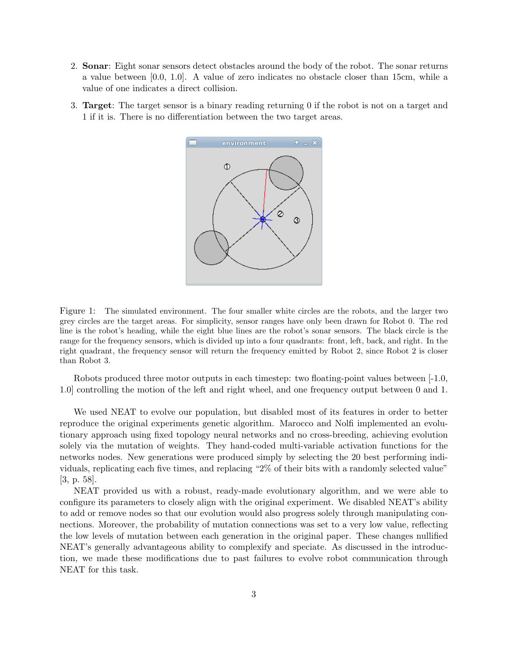- 2. Sonar: Eight sonar sensors detect obstacles around the body of the robot. The sonar returns a value between [0.0, 1.0]. A value of zero indicates no obstacle closer than 15cm, while a value of one indicates a direct collision.
- 3. Target: The target sensor is a binary reading returning 0 if the robot is not on a target and 1 if it is. There is no differentiation between the two target areas.



Figure 1: The simulated environment. The four smaller white circles are the robots, and the larger two grey circles are the target areas. For simplicity, sensor ranges have only been drawn for Robot 0. The red line is the robot's heading, while the eight blue lines are the robot's sonar sensors. The black circle is the range for the frequency sensors, which is divided up into a four quadrants: front, left, back, and right. In the right quadrant, the frequency sensor will return the frequency emitted by Robot 2, since Robot 2 is closer than Robot 3.

Robots produced three motor outputs in each timestep: two floating-point values between [-1.0, 1.0] controlling the motion of the left and right wheel, and one frequency output between 0 and 1.

We used NEAT to evolve our population, but disabled most of its features in order to better reproduce the original experiments genetic algorithm. Marocco and Nolfi implemented an evolutionary approach using fixed topology neural networks and no cross-breeding, achieving evolution solely via the mutation of weights. They hand-coded multi-variable activation functions for the networks nodes. New generations were produced simply by selecting the 20 best performing individuals, replicating each five times, and replacing "2% of their bits with a randomly selected value" [3, p. 58].

NEAT provided us with a robust, ready-made evolutionary algorithm, and we were able to configure its parameters to closely align with the original experiment. We disabled NEAT's ability to add or remove nodes so that our evolution would also progress solely through manipulating connections. Moreover, the probability of mutation connections was set to a very low value, reflecting the low levels of mutation between each generation in the original paper. These changes nullified NEAT's generally advantageous ability to complexify and speciate. As discussed in the introduction, we made these modifications due to past failures to evolve robot communication through NEAT for this task.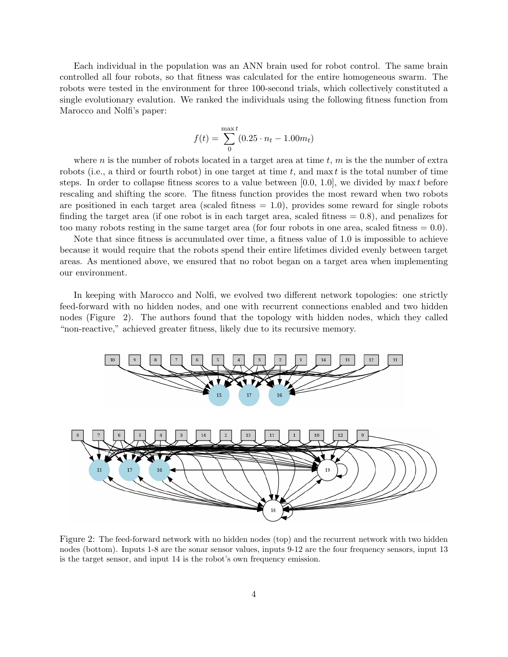Each individual in the population was an ANN brain used for robot control. The same brain controlled all four robots, so that fitness was calculated for the entire homogeneous swarm. The robots were tested in the environment for three 100-second trials, which collectively constituted a single evolutionary evalution. We ranked the individuals using the following fitness function from Marocco and Nolfi's paper:

$$
f(t) = \sum_{0}^{\max t} (0.25 \cdot n_t - 1.00 m_t)
$$

where n is the number of robots located in a target area at time  $t, m$  is the the number of extra robots (i.e., a third or fourth robot) in one target at time  $t$ , and max  $t$  is the total number of time steps. In order to collapse fitness scores to a value between [0.0, 1.0], we divided by max t before rescaling and shifting the score. The fitness function provides the most reward when two robots are positioned in each target area (scaled fitness  $= 1.0$ ), provides some reward for single robots finding the target area (if one robot is in each target area, scaled fitness  $= 0.8$ ), and penalizes for too many robots resting in the same target area (for four robots in one area, scaled fitness  $= 0.0$ ).

Note that since fitness is accumulated over time, a fitness value of 1.0 is impossible to achieve because it would require that the robots spend their entire lifetimes divided evenly between target areas. As mentioned above, we ensured that no robot began on a target area when implementing our environment.

In keeping with Marocco and Nolfi, we evolved two different network topologies: one strictly feed-forward with no hidden nodes, and one with recurrent connections enabled and two hidden nodes (Figure 2). The authors found that the topology with hidden nodes, which they called "non-reactive," achieved greater fitness, likely due to its recursive memory.



Figure 2: The feed-forward network with no hidden nodes (top) and the recurrent network with two hidden nodes (bottom). Inputs 1-8 are the sonar sensor values, inputs 9-12 are the four frequency sensors, input 13 is the target sensor, and input 14 is the robot's own frequency emission.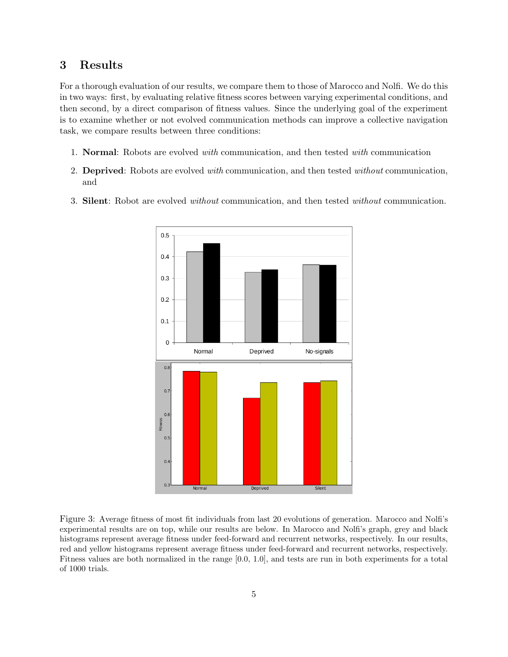# 3 Results

For a thorough evaluation of our results, we compare them to those of Marocco and Nolfi. We do this in two ways: first, by evaluating relative fitness scores between varying experimental conditions, and then second, by a direct comparison of fitness values. Since the underlying goal of the experiment is to examine whether or not evolved communication methods can improve a collective navigation task, we compare results between three conditions:

- 1. Normal: Robots are evolved with communication, and then tested with communication
- 2. Deprived: Robots are evolved with communication, and then tested without communication, and
- 3. Silent: Robot are evolved without communication, and then tested without communication.



Figure 3: Average fitness of most fit individuals from last 20 evolutions of generation. Marocco and Nolfi's experimental results are on top, while our results are below. In Marocco and Nolfi's graph, grey and black histograms represent average fitness under feed-forward and recurrent networks, respectively. In our results, red and yellow histograms represent average fitness under feed-forward and recurrent networks, respectively. Fitness values are both normalized in the range [0.0, 1.0], and tests are run in both experiments for a total of 1000 trials.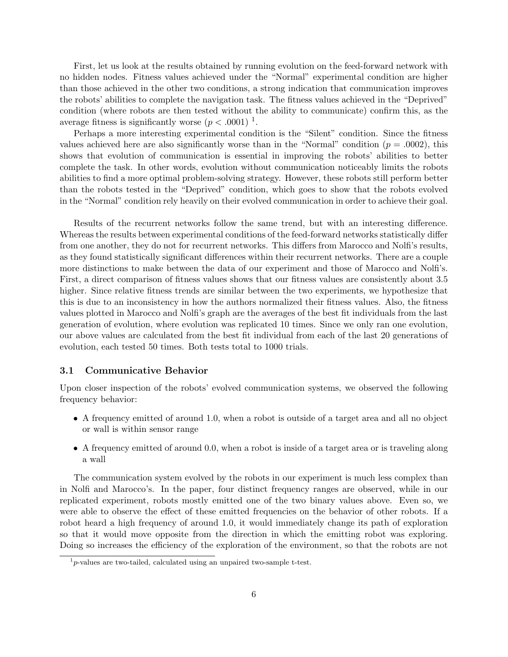First, let us look at the results obtained by running evolution on the feed-forward network with no hidden nodes. Fitness values achieved under the "Normal" experimental condition are higher than those achieved in the other two conditions, a strong indication that communication improves the robots' abilities to complete the navigation task. The fitness values achieved in the "Deprived" condition (where robots are then tested without the ability to communicate) confirm this, as the average fitness is significantly worse  $(p < .0001)^{-1}$ .

Perhaps a more interesting experimental condition is the "Silent" condition. Since the fitness values achieved here are also significantly worse than in the "Normal" condition ( $p = .0002$ ), this shows that evolution of communication is essential in improving the robots' abilities to better complete the task. In other words, evolution without communication noticeably limits the robots abilities to find a more optimal problem-solving strategy. However, these robots still perform better than the robots tested in the "Deprived" condition, which goes to show that the robots evolved in the "Normal" condition rely heavily on their evolved communication in order to achieve their goal.

Results of the recurrent networks follow the same trend, but with an interesting difference. Whereas the results between experimental conditions of the feed-forward networks statistically differ from one another, they do not for recurrent networks. This differs from Marocco and Nolfi's results, as they found statistically significant differences within their recurrent networks. There are a couple more distinctions to make between the data of our experiment and those of Marocco and Nolfi's. First, a direct comparison of fitness values shows that our fitness values are consistently about 3.5 higher. Since relative fitness trends are similar between the two experiments, we hypothesize that this is due to an inconsistency in how the authors normalized their fitness values. Also, the fitness values plotted in Marocco and Nolfi's graph are the averages of the best fit individuals from the last generation of evolution, where evolution was replicated 10 times. Since we only ran one evolution, our above values are calculated from the best fit individual from each of the last 20 generations of evolution, each tested 50 times. Both tests total to 1000 trials.

### 3.1 Communicative Behavior

Upon closer inspection of the robots' evolved communication systems, we observed the following frequency behavior:

- A frequency emitted of around 1.0, when a robot is outside of a target area and all no object or wall is within sensor range
- A frequency emitted of around 0.0, when a robot is inside of a target area or is traveling along a wall

The communication system evolved by the robots in our experiment is much less complex than in Nolfi and Marocco's. In the paper, four distinct frequency ranges are observed, while in our replicated experiment, robots mostly emitted one of the two binary values above. Even so, we were able to observe the effect of these emitted frequencies on the behavior of other robots. If a robot heard a high frequency of around 1.0, it would immediately change its path of exploration so that it would move opposite from the direction in which the emitting robot was exploring. Doing so increases the efficiency of the exploration of the environment, so that the robots are not

 $1<sup>1</sup>p$ -values are two-tailed, calculated using an unpaired two-sample t-test.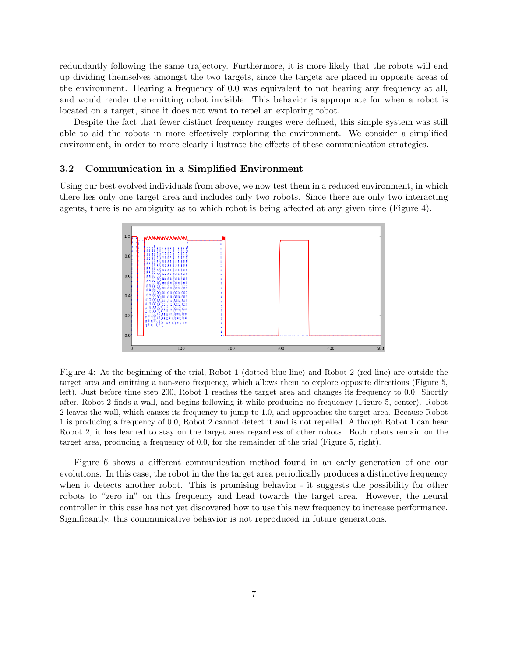redundantly following the same trajectory. Furthermore, it is more likely that the robots will end up dividing themselves amongst the two targets, since the targets are placed in opposite areas of the environment. Hearing a frequency of 0.0 was equivalent to not hearing any frequency at all, and would render the emitting robot invisible. This behavior is appropriate for when a robot is located on a target, since it does not want to repel an exploring robot.

Despite the fact that fewer distinct frequency ranges were defined, this simple system was still able to aid the robots in more effectively exploring the environment. We consider a simplified environment, in order to more clearly illustrate the effects of these communication strategies.

### 3.2 Communication in a Simplified Environment

Using our best evolved individuals from above, we now test them in a reduced environment, in which there lies only one target area and includes only two robots. Since there are only two interacting agents, there is no ambiguity as to which robot is being affected at any given time (Figure 4).



Figure 4: At the beginning of the trial, Robot 1 (dotted blue line) and Robot 2 (red line) are outside the target area and emitting a non-zero frequency, which allows them to explore opposite directions (Figure 5, left). Just before time step 200, Robot 1 reaches the target area and changes its frequency to 0.0. Shortly after, Robot 2 finds a wall, and begins following it while producing no frequency (Figure 5, center). Robot 2 leaves the wall, which causes its frequency to jump to 1.0, and approaches the target area. Because Robot 1 is producing a frequency of 0.0, Robot 2 cannot detect it and is not repelled. Although Robot 1 can hear Robot 2, it has learned to stay on the target area regardless of other robots. Both robots remain on the target area, producing a frequency of 0.0, for the remainder of the trial (Figure 5, right).

Figure 6 shows a different communication method found in an early generation of one our evolutions. In this case, the robot in the the target area periodically produces a distinctive frequency when it detects another robot. This is promising behavior - it suggests the possibility for other robots to "zero in" on this frequency and head towards the target area. However, the neural controller in this case has not yet discovered how to use this new frequency to increase performance. Significantly, this communicative behavior is not reproduced in future generations.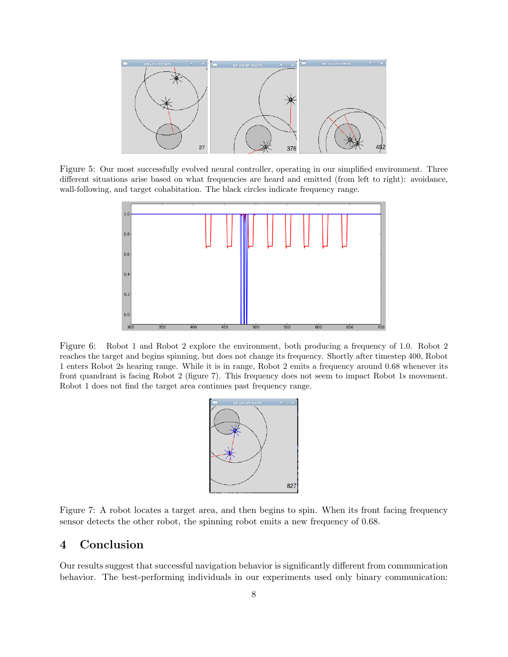

Figure 5: Our most successfully evolved neural controller, operating in our simplified environment. Three different situations arise based on what frequencies are heard and emitted (from left to right): avoidance, wall-following, and target cohabitation. The black circles indicate frequency range.



Figure 6: Robot 1 and Robot 2 explore the environment, both producing a frequency of 1.0. Robot 2 reaches the target and begins spinning, but does not change its frequency. Shortly after timestep 400, Robot 1 enters Robot 2s hearing range. While it is in range, Robot 2 emits a frequency around 0.68 whenever its front quandrant is facing Robot 2 (figure 7). This frequency does not seem to impact Robot 1s movement. Robot 1 does not find the target area continues past frequency range.



Figure 7: A robot locates a target area, and then begins to spin. When its front facing frequency sensor detects the other robot, the spinning robot emits a new frequency of 0.68.

# 4 Conclusion

Our results suggest that successful navigation behavior is significantly different from communication behavior. The best-performing individuals in our experiments used only binary communication: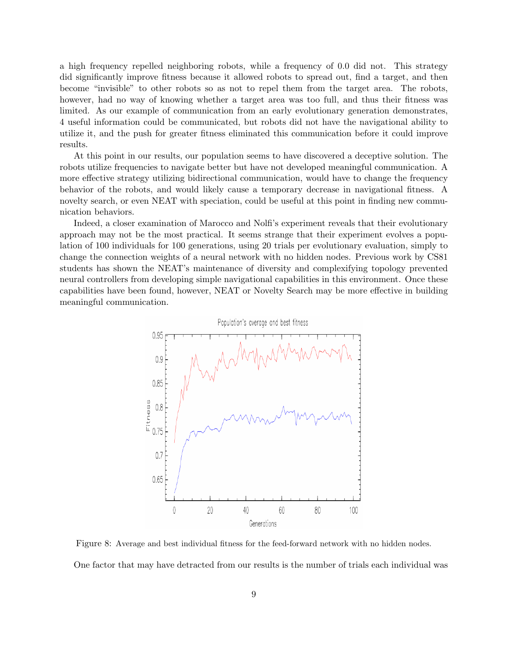a high frequency repelled neighboring robots, while a frequency of 0.0 did not. This strategy did significantly improve fitness because it allowed robots to spread out, find a target, and then become "invisible" to other robots so as not to repel them from the target area. The robots, however, had no way of knowing whether a target area was too full, and thus their fitness was limited. As our example of communication from an early evolutionary generation demonstrates, 4 useful information could be communicated, but robots did not have the navigational ability to utilize it, and the push for greater fitness eliminated this communication before it could improve results.

At this point in our results, our population seems to have discovered a deceptive solution. The robots utilize frequencies to navigate better but have not developed meaningful communication. A more effective strategy utilizing bidirectional communication, would have to change the frequency behavior of the robots, and would likely cause a temporary decrease in navigational fitness. A novelty search, or even NEAT with speciation, could be useful at this point in finding new communication behaviors.

Indeed, a closer examination of Marocco and Nolfi's experiment reveals that their evolutionary approach may not be the most practical. It seems strange that their experiment evolves a population of 100 individuals for 100 generations, using 20 trials per evolutionary evaluation, simply to change the connection weights of a neural network with no hidden nodes. Previous work by CS81 students has shown the NEAT's maintenance of diversity and complexifying topology prevented neural controllers from developing simple navigational capabilities in this environment. Once these capabilities have been found, however, NEAT or Novelty Search may be more effective in building meaningful communication.



Figure 8: Average and best individual fitness for the feed-forward network with no hidden nodes. One factor that may have detracted from our results is the number of trials each individual was